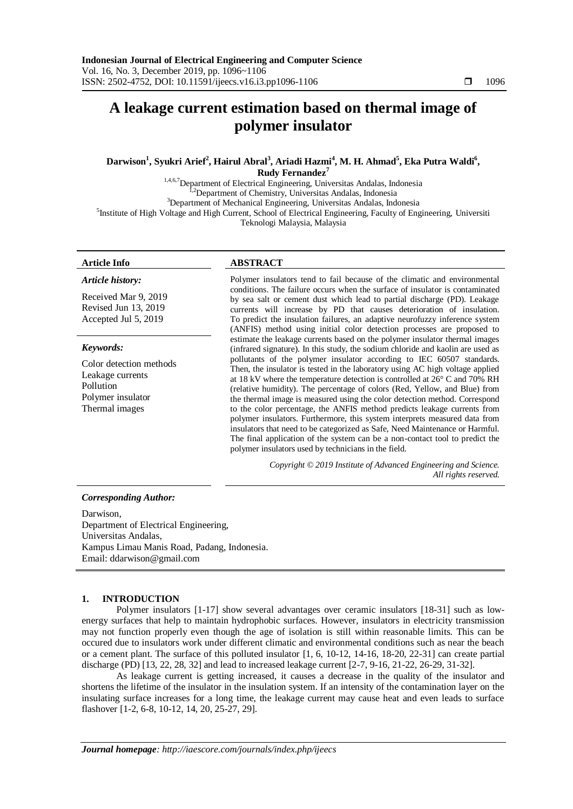# **A leakage current estimation based on thermal image of polymer insulator**

# $\mathbf{Darwison}^{1}, \mathbf{Syukri Arief}^{2}, \mathbf{Hairul Abral}^{3}, \mathbf{Ariadi Hazmi}^{4}, \mathbf{M}.$  **H.** Ahmad $^{5}, \mathbf{Eka Putra Waldi}^{6},$ **Rudy Fernandez<sup>7</sup>**

1,4,6,7Department of Electrical Engineering, Universitas Andalas, Indonesia <sup>[,2</sup>Department of Chemistry, Universitas Andalas, Indonesia <sup>3</sup>Department of Mechanical Engineering, Universitas Andalas, Indonesia 5 Institute of High Voltage and High Current, School of Electrical Engineering, Faculty of Engineering, Universiti Teknologi Malaysia, Malaysia

### **Article Info ABSTRACT**

#### *Article history:*

Received Mar 9, 2019 Revised Jun 13, 2019 Accepted Jul 5, 2019

### *Keywords:*

Color detection methods Leakage currents Pollution Polymer insulator Thermal images

Polymer insulators tend to fail because of the climatic and environmental conditions. The failure occurs when the surface of insulator is contaminated by sea salt or cement dust which lead to partial discharge (PD). Leakage currents will increase by PD that causes deterioration of insulation. To predict the insulation failures, an adaptive neurofuzzy inference system (ANFIS) method using initial color detection processes are proposed to estimate the leakage currents based on the polymer insulator thermal images (infrared signature). In this study, the sodium chloride and kaolin are used as pollutants of the polymer insulator according to IEC 60507 standards. Then, the insulator is tested in the laboratory using AC high voltage applied at 18 kV where the temperature detection is controlled at 26° C and 70% RH (relative humidity). The percentage of colors (Red, Yellow, and Blue) from the thermal image is measured using the color detection method. Correspond to the color percentage, the ANFIS method predicts leakage currents from polymer insulators. Furthermore, this system interprets measured data from insulators that need to be categorized as Safe, Need Maintenance or Harmful. The final application of the system can be a non-contact tool to predict the polymer insulators used by technicians in the field.

> *Copyright © 2019 Institute of Advanced Engineering and Science. All rights reserved.*

### *Corresponding Author:*

Darwison, Department of Electrical Engineering, Universitas Andalas, Kampus Limau Manis Road, Padang, Indonesia. Email: [ddarwison@gmail.com](mailto:ddarwison@gmail.com)

### **1. INTRODUCTION**

Polymer insulators [1-17] show several advantages over ceramic insulators [18-31] such as lowenergy surfaces that help to maintain hydrophobic surfaces. However, insulators in electricity transmission may not function properly even though the age of isolation is still within reasonable limits. This can be occured due to insulators work under different climatic and environmental conditions such as near the beach or a cement plant. The surface of this polluted insulator [1, 6, 10-12, 14-16, 18-20, 22-31] can create partial discharge (PD) [13, 22, 28, 32] and lead to increased leakage current [2-7, 9-16, 21-22, 26-29, 31-32].

As leakage current is getting increased, it causes a decrease in the quality of the insulator and shortens the lifetime of the insulator in the insulation system. If an intensity of the contamination layer on the insulating surface increases for a long time, the leakage current may cause heat and even leads to surface flashover [1-2, 6-8, 10-12, 14, 20, 25-27, 29].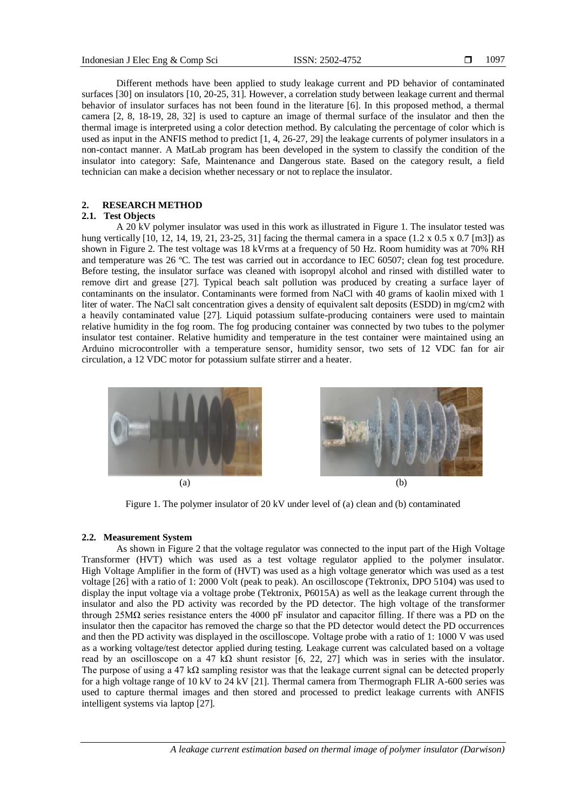Different methods have been applied to study leakage current and PD behavior of contaminated surfaces [30] on insulators [10, 20-25, 31]. However, a correlation study between leakage current and thermal behavior of insulator surfaces has not been found in the literature [6]. In this proposed method, a thermal camera [2, 8, 18-19, 28, 32] is used to capture an image of thermal surface of the insulator and then the thermal image is interpreted using a color detection method. By calculating the percentage of color which is used as input in the ANFIS method to predict [1, 4, 26-27, 29] the leakage currents of polymer insulators in a non-contact manner. A MatLab program has been developed in the system to classify the condition of the insulator into category: Safe, Maintenance and Dangerous state. Based on the category result, a field technician can make a decision whether necessary or not to replace the insulator.

# **2. RESEARCH METHOD**

## **2.1. Test Objects**

A 20 kV polymer insulator was used in this work as illustrated in Figure 1. The insulator tested was hung vertically [10, 12, 14, 19, 21, 23-25, 31] facing the thermal camera in a space (1.2 x 0.5 x 0.7 [m3]) as shown in Figure 2. The test voltage was 18 kVrms at a frequency of 50 Hz. Room humidity was at 70% RH and temperature was 26 ºC. The test was carried out in accordance to IEC 60507; clean fog test procedure. Before testing, the insulator surface was cleaned with isopropyl alcohol and rinsed with distilled water to remove dirt and grease [27]. Typical beach salt pollution was produced by creating a surface layer of contaminants on the insulator. Contaminants were formed from NaCl with 40 grams of kaolin mixed with 1 liter of water. The NaCl salt concentration gives a density of equivalent salt deposits (ESDD) in mg/cm2 with a heavily contaminated value [27]. Liquid potassium sulfate-producing containers were used to maintain relative humidity in the fog room. The fog producing container was connected by two tubes to the polymer insulator test container. Relative humidity and temperature in the test container were maintained using an Arduino microcontroller with a temperature sensor, humidity sensor, two sets of 12 VDC fan for air circulation, a 12 VDC motor for potassium sulfate stirrer and a heater.



Figure 1. The polymer insulator of 20 kV under level of (a) clean and (b) contaminated

### **2.2. Measurement System**

As shown in Figure 2 that the voltage regulator was connected to the input part of the High Voltage Transformer (HVT) which was used as a test voltage regulator applied to the polymer insulator. High Voltage Amplifier in the form of (HVT) was used as a high voltage generator which was used as a test voltage [26] with a ratio of 1: 2000 Volt (peak to peak). An oscilloscope (Tektronix, DPO 5104) was used to display the input voltage via a voltage probe (Tektronix, P6015A) as well as the leakage current through the insulator and also the PD activity was recorded by the PD detector. The high voltage of the transformer through 25M $\Omega$  series resistance enters the 4000 pF insulator and capacitor filling. If there was a PD on the insulator then the capacitor has removed the charge so that the PD detector would detect the PD occurrences and then the PD activity was displayed in the oscilloscope. Voltage probe with a ratio of 1: 1000 V was used as a working voltage/test detector applied during testing. Leakage current was calculated based on a voltage read by an oscilloscope on a 47 kΩ shunt resistor [6, 22, 27] which was in series with the insulator. The purpose of using a 47 kΩ sampling resistor was that the leakage current signal can be detected properly for a high voltage range of 10 kV to 24 kV [21]. Thermal camera from Thermograph FLIR A-600 series was used to capture thermal images and then stored and processed to predict leakage currents with ANFIS intelligent systems via laptop [27].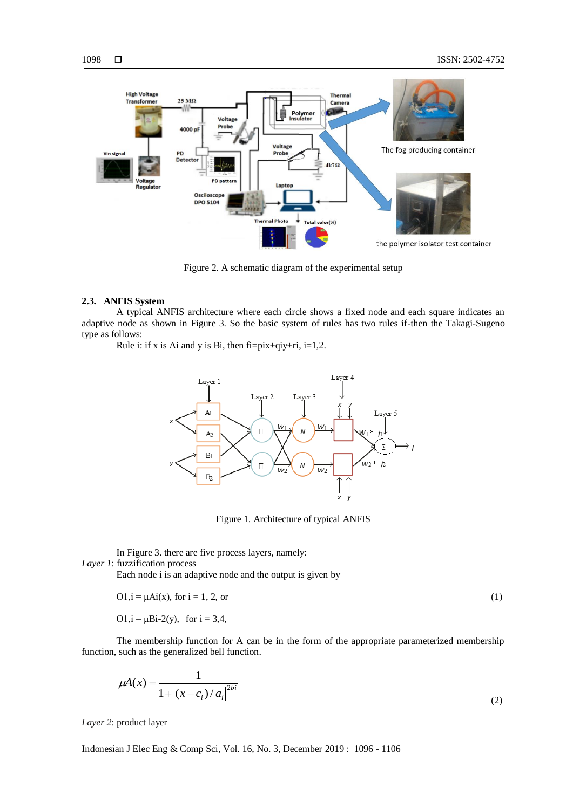



Figure 2. A schematic diagram of the experimental setup

### **2.3. ANFIS System**

A typical ANFIS architecture where each circle shows a fixed node and each square indicates an adaptive node as shown in Figure 3. So the basic system of rules has two rules if-then the Takagi-Sugeno type as follows:

Rule i: if x is Ai and y is Bi, then  $fi = pix+qiy+ri$ ,  $i=1,2$ .



Figure 1. Architecture of typical ANFIS

In Figure 3. there are five process layers, namely: *Layer 1*: fuzzification process

Each node i is an adaptive node and the output is given by

$$
O1, i = \mu \text{Ai}(x), \text{ for } i = 1, 2, \text{ or}
$$
 (1)

O1, $i = \mu Bi-2(y)$ , for  $i = 3,4$ ,

The membership function for A can be in the form of the appropriate parameterized membership function, such as the generalized bell function.

$$
\mu A(x) = \frac{1}{1 + |(x - c_i)/a_i|^{2bi}}
$$
 (2)

*Layer 2*: product layer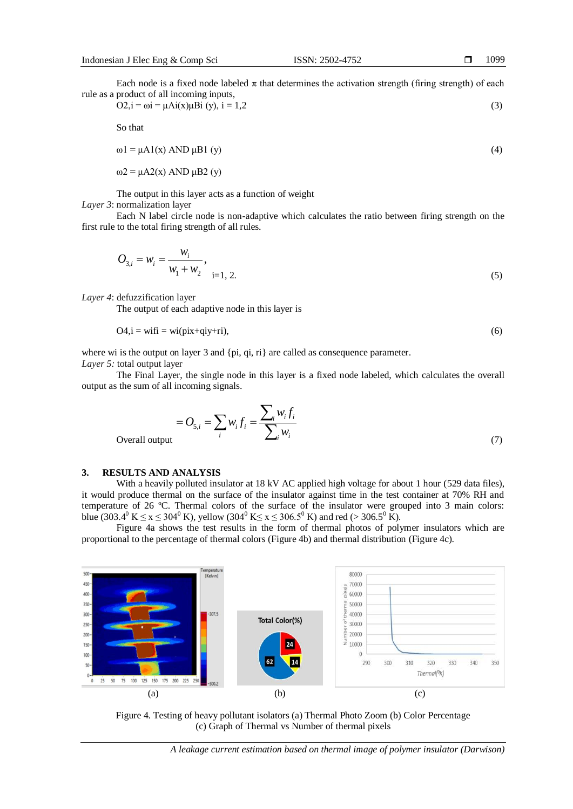Each node is a fixed node labeled  $\pi$  that determines the activation strength (firing strength) of each rule as a product of all incoming inputs,

$$
O2, i = \omega i = \mu Ai(x)\mu Bi(y), i = 1, 2
$$
\n<sup>(3)</sup>

So that

$$
\omega \mathbf{1} = \mu \mathbf{A} \mathbf{1}(\mathbf{x}) \mathbf{A} \mathbf{N} \mathbf{D} \mu \mathbf{B} \mathbf{1} \text{ (y)} \tag{4}
$$

 $ω2 = μA2(x)$  AND  $μB2(y)$ 

The output in this layer acts as a function of weight *Layer 3*: normalization layer

Each N label circle node is non-adaptive which calculates the ratio between firing strength on the first rule to the total firing strength of all rules.

$$
O_{3,i} = w_i = \frac{w_i}{w_1 + w_2}, \quad i = 1, 2.
$$
 (5)

*Layer 4*: defuzzification layer

The output of each adaptive node in this layer is

$$
O4, i = wit\bar{n} = wi(pix+qiy+ri),\tag{6}
$$

where wi is the output on layer 3 and  $\{pi, qi, ri\}$  are called as consequence parameter.

*Layer 5:* total output layer

The Final Layer, the single node in this layer is a fixed node labeled, which calculates the overall output as the sum of all incoming signals.

$$
=O_{5,i} = \sum_{i} w_{i} f_{i} = \frac{\sum_{i} w_{i} f_{i}}{\sum_{i} w_{i}}
$$
(7)

Overall output

# **3. RESULTS AND ANALYSIS**

With a heavily polluted insulator at 18 kV AC applied high voltage for about 1 hour (529 data files), it would produce thermal on the surface of the insulator against time in the test container at 70% RH and temperature of 26 ºC. Thermal colors of the surface of the insulator were grouped into 3 main colors: blue (303.4<sup>0</sup> K  $\le x \le 304$ <sup>0</sup> K), yellow (304<sup>0</sup> K $\le x \le 306.5$ <sup>0</sup> K) and red (> 306.5<sup>0</sup> K).

Figure 4a shows the test results in the form of thermal photos of polymer insulators which are proportional to the percentage of thermal colors (Figure 4b) and thermal distribution (Figure 4c).



Figure 4. Testing of heavy pollutant isolators (a) Thermal Photo Zoom (b) Color Percentage (c) Graph of Thermal vs Number of thermal pixels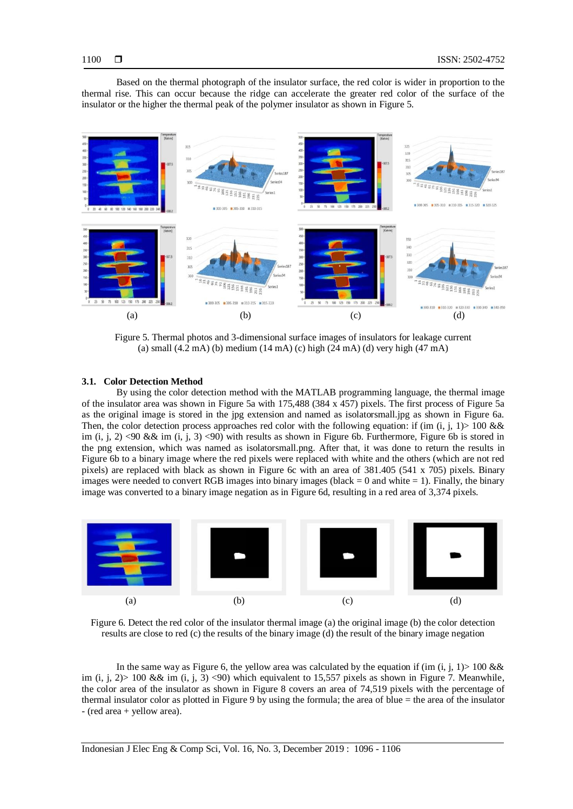Based on the thermal photograph of the insulator surface, the red color is wider in proportion to the thermal rise. This can occur because the ridge can accelerate the greater red color of the surface of the insulator or the higher the thermal peak of the polymer insulator as shown in Figure 5.



Figure 5. Thermal photos and 3-dimensional surface images of insulators for leakage current (a) small (4.2 mA) (b) medium (14 mA) (c) high (24 mA) (d) very high (47 mA)

#### **3.1. Color Detection Method**

By using the color detection method with the MATLAB programming language, the thermal image of the insulator area was shown in Figure 5a with 175,488 (384 x 457) pixels. The first process of Figure 5a as the original image is stored in the jpg extension and named as isolatorsmall.jpg as shown in Figure 6a. Then, the color detection process approaches red color with the following equation: if (im (i, j, 1)> 100 && im (i, j, 2) <90 && im (i, j, 3) <90) with results as shown in Figure 6b. Furthermore, Figure 6b is stored in the png extension, which was named as isolatorsmall.png. After that, it was done to return the results in Figure 6b to a binary image where the red pixels were replaced with white and the others (which are not red pixels) are replaced with black as shown in Figure 6c with an area of 381.405 (541 x 705) pixels. Binary images were needed to convert RGB images into binary images (black  $= 0$  and white  $= 1$ ). Finally, the binary image was converted to a binary image negation as in Figure 6d, resulting in a red area of 3,374 pixels.



Figure 6. Detect the red color of the insulator thermal image (a) the original image (b) the color detection results are close to red (c) the results of the binary image (d) the result of the binary image negation

In the same way as Figure 6, the yellow area was calculated by the equation if (im  $(i, j, 1)$  > 100 && im (i, j, 2) > 100 && im (i, j, 3) <90) which equivalent to 15,557 pixels as shown in Figure 7. Meanwhile, the color area of the insulator as shown in Figure 8 covers an area of 74,519 pixels with the percentage of thermal insulator color as plotted in Figure 9 by using the formula; the area of blue = the area of the insulator - (red area + yellow area).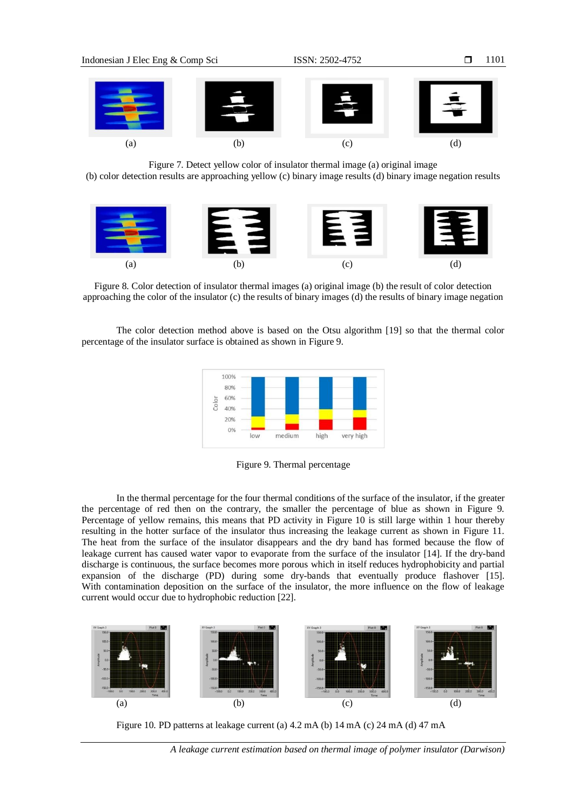

Figure 7. Detect yellow color of insulator thermal image (a) original image

(b) color detection results are approaching yellow (c) binary image results (d) binary image negation results



Figure 8. Color detection of insulator thermal images (a) original image (b) the result of color detection approaching the color of the insulator (c) the results of binary images (d) the results of binary image negation

The color detection method above is based on the Otsu algorithm [19] so that the thermal color percentage of the insulator surface is obtained as shown in Figure 9.



Figure 9. Thermal percentage

In the thermal percentage for the four thermal conditions of the surface of the insulator, if the greater the percentage of red then on the contrary, the smaller the percentage of blue as shown in Figure 9. Percentage of yellow remains, this means that PD activity in Figure 10 is still large within 1 hour thereby resulting in the hotter surface of the insulator thus increasing the leakage current as shown in Figure 11. The heat from the surface of the insulator disappears and the dry band has formed because the flow of leakage current has caused water vapor to evaporate from the surface of the insulator [14]. If the dry-band discharge is continuous, the surface becomes more porous which in itself reduces hydrophobicity and partial expansion of the discharge (PD) during some dry-bands that eventually produce flashover [15]. With contamination deposition on the surface of the insulator, the more influence on the flow of leakage current would occur due to hydrophobic reduction [22].



Figure 10. PD patterns at leakage current (a) 4.2 mA (b) 14 mA (c) 24 mA (d) 47 mA

*A leakage current estimation based on thermal image of polymer insulator (Darwison)*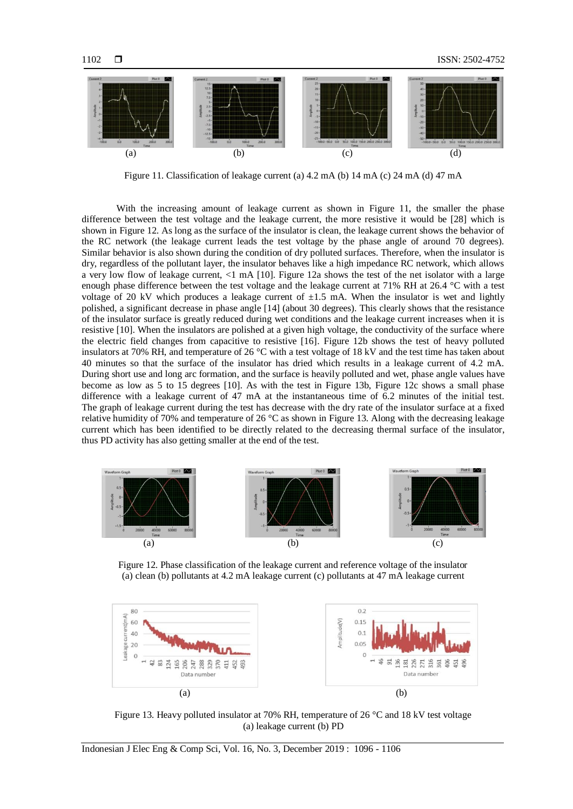Figure 11. Classification of leakage current (a) 4.2 mA (b) 14 mA (c) 24 mA (d) 47 mA

(a)  $(b)$   $(c)$   $(d)$ 

With the increasing amount of leakage current as shown in Figure 11, the smaller the phase difference between the test voltage and the leakage current, the more resistive it would be [28] which is shown in Figure 12. As long as the surface of the insulator is clean, the leakage current shows the behavior of the RC network (the leakage current leads the test voltage by the phase angle of around 70 degrees). Similar behavior is also shown during the condition of dry polluted surfaces. Therefore, when the insulator is dry, regardless of the pollutant layer, the insulator behaves like a high impedance RC network, which allows a very low flow of leakage current, <1 mA [10]. Figure 12a shows the test of the net isolator with a large enough phase difference between the test voltage and the leakage current at 71% RH at 26.4 °C with a test voltage of 20 kV which produces a leakage current of  $\pm 1.5$  mA. When the insulator is wet and lightly polished, a significant decrease in phase angle [14] (about 30 degrees). This clearly shows that the resistance of the insulator surface is greatly reduced during wet conditions and the leakage current increases when it is resistive [10]. When the insulators are polished at a given high voltage, the conductivity of the surface where the electric field changes from capacitive to resistive [16]. Figure 12b shows the test of heavy polluted insulators at 70% RH, and temperature of 26 °C with a test voltage of 18 kV and the test time has taken about 40 minutes so that the surface of the insulator has dried which results in a leakage current of 4.2 mA. During short use and long arc formation, and the surface is heavily polluted and wet, phase angle values have become as low as 5 to 15 degrees [10]. As with the test in Figure 13b, Figure 12c shows a small phase difference with a leakage current of 47 mA at the instantaneous time of 6.2 minutes of the initial test. The graph of leakage current during the test has decrease with the dry rate of the insulator surface at a fixed relative humidity of 70% and temperature of 26 °C as shown in Figure 13. Along with the decreasing leakage current which has been identified to be directly related to the decreasing thermal surface of the insulator, thus PD activity has also getting smaller at the end of the test.



Figure 12. Phase classification of the leakage current and reference voltage of the insulator (a) clean (b) pollutants at 4.2 mA leakage current (c) pollutants at 47 mA leakage current



Figure 13. Heavy polluted insulator at 70% RH, temperature of 26 °C and 18 kV test voltage (a) leakage current (b) PD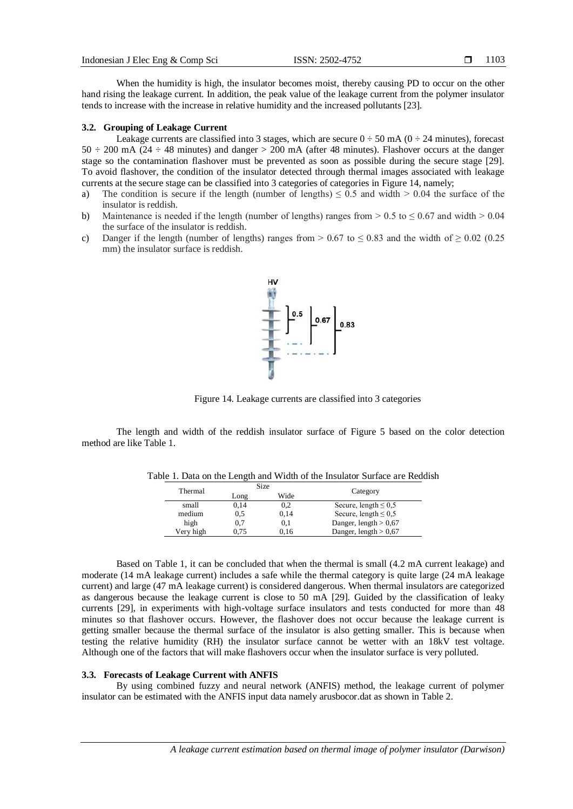When the humidity is high, the insulator becomes moist, thereby causing PD to occur on the other hand rising the leakage current. In addition, the peak value of the leakage current from the polymer insulator tends to increase with the increase in relative humidity and the increased pollutants [23].

#### **3.2. Grouping of Leakage Current**

Leakage currents are classified into 3 stages, which are secure  $0 \div 50$  mA ( $0 \div 24$  minutes), forecast  $50 \div 200$  mA ( $24 \div 48$  minutes) and danger  $> 200$  mA (after 48 minutes). Flashover occurs at the danger stage so the contamination flashover must be prevented as soon as possible during the secure stage [29]. To avoid flashover, the condition of the insulator detected through thermal images associated with leakage currents at the secure stage can be classified into 3 categories of categories in Figure 14, namely;

- a) The condition is secure if the length (number of lengths)  $\leq 0.5$  and width  $> 0.04$  the surface of the insulator is reddish.
- b) Maintenance is needed if the length (number of lengths) ranges from  $> 0.5$  to  $\leq 0.67$  and width  $> 0.04$ the surface of the insulator is reddish.
- c) Danger if the length (number of lengths) ranges from  $> 0.67$  to  $\leq 0.83$  and the width of  $\geq 0.02$  (0.25 mm) the insulator surface is reddish.



Figure 14. Leakage currents are classified into 3 categories

The length and width of the reddish insulator surface of Figure 5 based on the color detection method are like Table 1.

| Thermal   | Size |      |                           |  |
|-----------|------|------|---------------------------|--|
|           | Long | Wide | Category                  |  |
| small     | 0.14 | 0.2  | Secure, length $\leq 0.5$ |  |
| medium    | 0,5  | 0,14 | Secure, length $\leq 0.5$ |  |
| high      | 0,7  | 0.1  | Danger, length $> 0.67$   |  |
| Very high | 0.75 | 0.16 | Danger, length $> 0.67$   |  |

Table 1. Data on the Length and Width of the Insulator Surface are Reddish

Based on Table 1, it can be concluded that when the thermal is small (4.2 mA current leakage) and moderate (14 mA leakage current) includes a safe while the thermal category is quite large (24 mA leakage current) and large (47 mA leakage current) is considered dangerous. When thermal insulators are categorized as dangerous because the leakage current is close to 50 mA [29]. Guided by the classification of leaky currents [29], in experiments with high-voltage surface insulators and tests conducted for more than 48 minutes so that flashover occurs. However, the flashover does not occur because the leakage current is getting smaller because the thermal surface of the insulator is also getting smaller. This is because when testing the relative humidity (RH) the insulator surface cannot be wetter with an 18kV test voltage. Although one of the factors that will make flashovers occur when the insulator surface is very polluted.

#### **3.3. Forecasts of Leakage Current with ANFIS**

By using combined fuzzy and neural network (ANFIS) method, the leakage current of polymer insulator can be estimated with the ANFIS input data namely arusbocor.dat as shown in Table 2.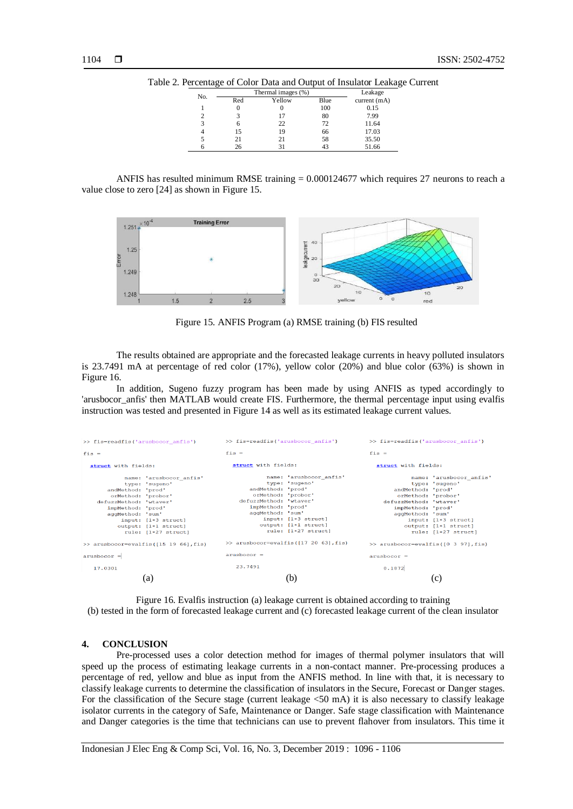| No. | Thermal images (%) |        |      | Leakage     |
|-----|--------------------|--------|------|-------------|
|     | Red                | Yellow | Blue | current(mA) |
|     | $\theta$           |        | 100  | 0.15        |
|     |                    | 17     | 80   | 7.99        |
|     | 6                  | 22     | 72   | 11.64       |
|     | 15                 | 19     | 66   | 17.03       |
|     | 21                 | 21     | 58   | 35.50       |
|     | 26                 |        |      | 51.66       |

Table 2. Percentage of Color Data and Output of Insulator Leakage Current

ANFIS has resulted minimum RMSE training = 0.000124677 which requires 27 neurons to reach a value close to zero [24] as shown in Figure 15.



Figure 15. ANFIS Program (a) RMSE training (b) FIS resulted

The results obtained are appropriate and the forecasted leakage currents in heavy polluted insulators is 23.7491 mA at percentage of red color (17%), yellow color (20%) and blue color (63%) is shown in Figure 16.

In addition, Sugeno fuzzy program has been made by using ANFIS as typed accordingly to 'arusbocor\_anfis' then MATLAB would create FIS. Furthermore, the thermal percentage input using evalfis instruction was tested and presented in Figure 14 as well as its estimated leakage current values.



Figure 16. Evalfis instruction (a) leakage current is obtained according to training (b) tested in the form of forecasted leakage current and (c) forecasted leakage current of the clean insulator

#### **4. CONCLUSION**

Pre-processed uses a color detection method for images of thermal polymer insulators that will speed up the process of estimating leakage currents in a non-contact manner. Pre-processing produces a percentage of red, yellow and blue as input from the ANFIS method. In line with that, it is necessary to classify leakage currents to determine the classification of insulators in the Secure, Forecast or Danger stages. For the classification of the Secure stage (current leakage <50 mA) it is also necessary to classify leakage isolator currents in the category of Safe, Maintenance or Danger. Safe stage classification with Maintenance and Danger categories is the time that technicians can use to prevent flahover from insulators. This time it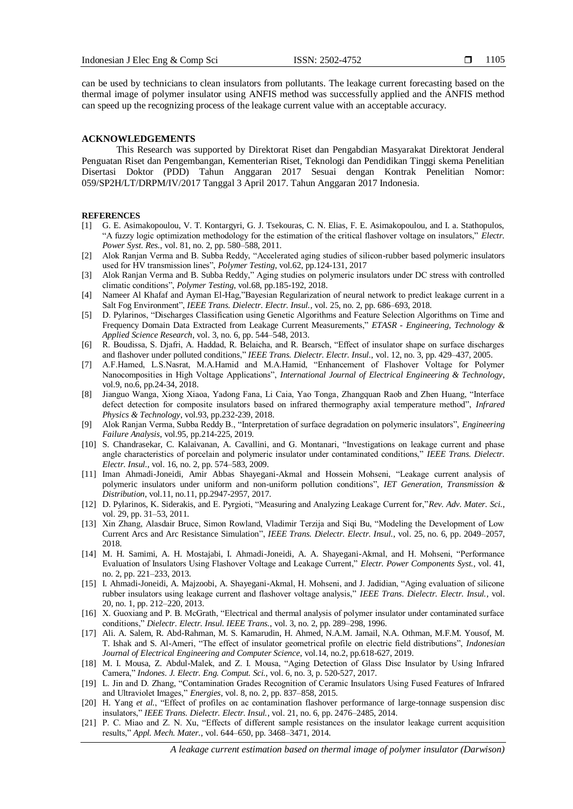can be used by technicians to clean insulators from pollutants. The leakage current forecasting based on the thermal image of polymer insulator using ANFIS method was successfully applied and the ANFIS method can speed up the recognizing process of the leakage current value with an acceptable accuracy.

### **ACKNOWLEDGEMENTS**

This Research was supported by Direktorat Riset dan Pengabdian Masyarakat Direktorat Jenderal Penguatan Riset dan Pengembangan, Kementerian Riset, Teknologi dan Pendidikan Tinggi skema Penelitian Disertasi Doktor (PDD) Tahun Anggaran 2017 Sesuai dengan Kontrak Penelitian Nomor: 059/SP2H/LT/DRPM/IV/2017 Tanggal 3 April 2017. Tahun Anggaran 2017 Indonesia.

#### **REFERENCES**

- [1] G. E. Asimakopoulou, V. T. Kontargyri, G. J. Tsekouras, C. N. Elias, F. E. Asimakopoulou, and I. a. Stathopulos, "A fuzzy logic optimization methodology for the estimation of the critical flashover voltage on insulators," *Electr. Power Syst. Res.*, vol. 81, no. 2, pp. 580–588, 2011.
- [2] Alok Ranjan Verma and B. Subba Reddy, "Accelerated aging studies of silicon-rubber based polymeric insulators used for HV transmission lines", *Polymer Testing*, vol.62, pp.124-131, 2017
- [3] Alok Ranjan Verma and B. Subba Reddy," Aging studies on polymeric insulators under DC stress with controlled climatic conditions", *Polymer Testing*, vol.68, pp.185-192, 2018.
- [4] Nameer Al Khafaf and Ayman El-Hag,"Bayesian Regularization of neural network to predict leakage current in a Salt Fog Environment", *IEEE Trans. Dielectr. Electr. Insul.*, vol. 25, no. 2, pp. 686–693, 2018.
- [5] D. Pylarinos, "Discharges Classification using Genetic Algorithms and Feature Selection Algorithms on Time and Frequency Domain Data Extracted from Leakage Current Measurements," *ETASR - Engineering, Technology & Applied Science Research*, vol. 3, no. 6, pp. 544–548, 2013.
- [6] R. Boudissa, S. Djafri, A. Haddad, R. Belaicha, and R. Bearsch, "Effect of insulator shape on surface discharges and flashover under polluted conditions," *IEEE Trans. Dielectr. Electr. Insul.,* vol. 12, no. 3, pp. 429–437, 2005.
- [7] A.F.Hamed, L.S.Nasrat, M.A.Hamid and M.A.Hamid, "Enhancement of Flashover Voltage for Polymer Nanocomposities in High Voltage Applications", *International Journal of Electrical Engineering & Technology*, vol.9, no.6, pp.24-34, 2018.
- [8] Jianguo Wanga, Xiong Xiaoa, Yadong Fana, Li Caia, Yao Tonga, Zhangquan Raob and Zhen Huang, "Interface defect detection for composite insulators based on infrared thermography axial temperature method", *Infrared Physics & Technology*, vol.93, pp.232-239, 2018.
- [9] Alok Ranjan Verma, Subba Reddy B., "Interpretation of surface degradation on polymeric insulators", *Engineering Failure Analysis*, vol.95, pp.214-225, 2019.
- [10] S. Chandrasekar, C. Kalaivanan, A. Cavallini, and G. Montanari, "Investigations on leakage current and phase angle characteristics of porcelain and polymeric insulator under contaminated conditions," *IEEE Trans. Dielectr. Electr. Insul.*, vol. 16, no. 2, pp. 574–583, 2009.
- [11] Iman Ahmadi-Joneidi, Amir Abbas Shayegani-Akmal and Hossein Mohseni, "Leakage current analysis of polymeric insulators under uniform and non-uniform pollution conditions", *IET Generation, Transmission & Distribution*, vol.11, no.11, pp.2947-2957, 2017.
- [12] D. Pylarinos, K. Siderakis, and E. Pyrgioti, "Measuring and Analyzing Leakage Current for,"*Rev. Adv. Mater. Sci.*, vol. 29, pp. 31–53, 2011.
- [13] Xin Zhang, Alasdair Bruce, Simon Rowland, Vladimir Terzija and Siqi Bu, "Modeling the Development of Low Current Arcs and Arc Resistance Simulation", *IEEE Trans. Dielectr. Electr. Insul.*, vol. 25, no. 6, pp. 2049–2057, 2018.
- [14] M. H. Samimi, A. H. Mostajabi, I. Ahmadi-Joneidi, A. A. Shayegani-Akmal, and H. Mohseni, "Performance Evaluation of Insulators Using Flashover Voltage and Leakage Current," *Electr. Power Components Syst.*, vol. 41, no. 2, pp. 221–233, 2013.
- [15] I. Ahmadi-Joneidi, A. Majzoobi, A. Shayegani-Akmal, H. Mohseni, and J. Jadidian, "Aging evaluation of silicone rubber insulators using leakage current and flashover voltage analysis," *IEEE Trans. Dielectr. Electr. Insul.*, vol. 20, no. 1, pp. 212–220, 2013.
- [16] X. Guoxiang and P. B. McGrath, "Electrical and thermal analysis of polymer insulator under contaminated surface conditions," *Dielectr. Electr. Insul. IEEE Trans.*, vol. 3, no. 2, pp. 289–298, 1996.
- [17] Ali. A. Salem, R. Abd-Rahman, M. S. Kamarudin, H. Ahmed, N.A.M. Jamail, N.A. Othman, M.F.M. Yousof, M. T. Ishak and S. Al-Ameri, "The effect of insulator geometrical profile on electric field distributions", *Indonesian Journal of Electrical Engineering and Computer Science*, vol.14, no.2, pp.618-627, 2019.
- [18] M. I. Mousa, Z. Abdul-Malek, and Z. I. Mousa, "Aging Detection of Glass Disc Insulator by Using Infrared Camera," *Indones. J. Electr. Eng. Comput. Sci.*, vol. 6, no. 3, p. 520-527, 2017.
- [19] L. Jin and D. Zhang, "Contamination Grades Recognition of Ceramic Insulators Using Fused Features of Infrared and Ultraviolet Images," *Energies*, vol. 8, no. 2, pp. 837–858, 2015.
- [20] H. Yang *et al.*, "Effect of profiles on ac contamination flashover performance of large-tonnage suspension disc insulators," *IEEE Trans. Dielectr. Electr. Insul.*, vol. 21, no. 6, pp. 2476–2485, 2014.
- [21] P. C. Miao and Z. N. Xu, "Effects of different sample resistances on the insulator leakage current acquisition results," *Appl. Mech. Mater.*, vol. 644–650, pp. 3468–3471, 2014.